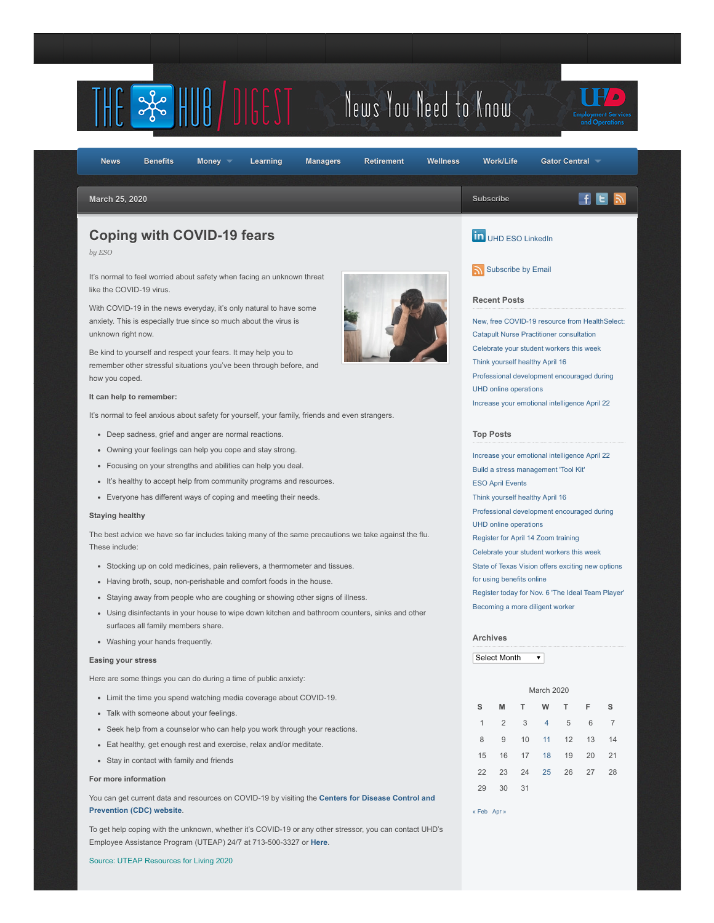

To get help coping with the unknown, whether it's COVID-19 or any other stressor, you can contact UHD's Employee Assistance Program (UTEAP) 24/7 at 713-500-3327 or **[Here](https://www.uhd.edu/administration/employment-services-operations/work-life/Pages/hr-eap.aspx)**.

Source: UTEAP Resources for Living 2020